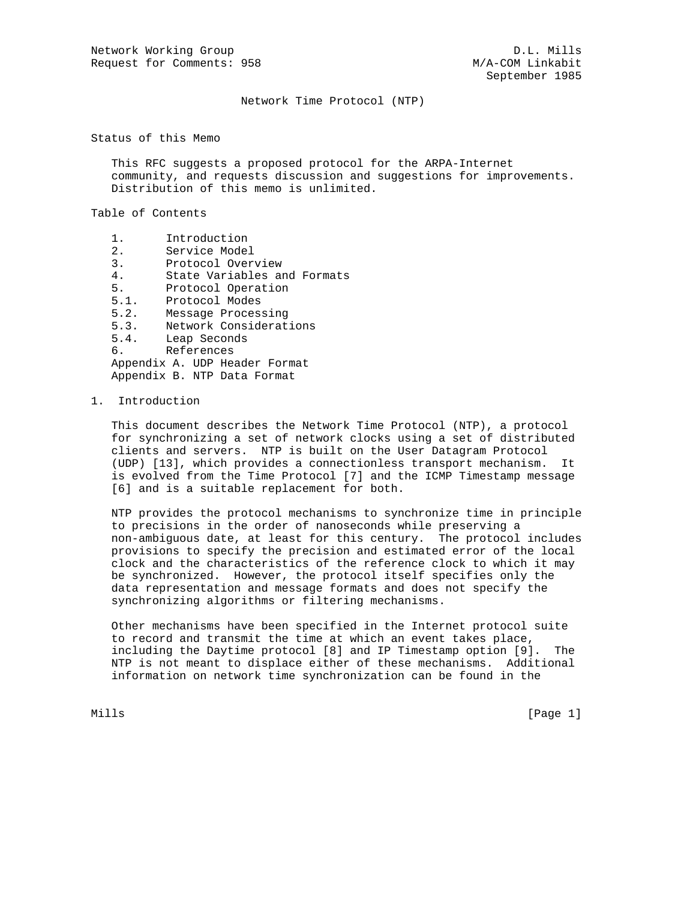Network Time Protocol (NTP)

Status of this Memo

 This RFC suggests a proposed protocol for the ARPA-Internet community, and requests discussion and suggestions for improvements. Distribution of this memo is unlimited.

Table of Contents

- 1. Introduction
- 2. Service Model
- 3. Protocol Overview
- 4. State Variables and Formats
- 5. Protocol Operation
- 5.1. Protocol Modes
- 5.2. Message Processing
- 5.3. Network Considerations
- 5.4. Leap Seconds
- 6. References

 Appendix A. UDP Header Format Appendix B. NTP Data Format

1. Introduction

 This document describes the Network Time Protocol (NTP), a protocol for synchronizing a set of network clocks using a set of distributed clients and servers. NTP is built on the User Datagram Protocol (UDP) [13], which provides a connectionless transport mechanism. It is evolved from the Time Protocol [7] and the ICMP Timestamp message [6] and is a suitable replacement for both.

 NTP provides the protocol mechanisms to synchronize time in principle to precisions in the order of nanoseconds while preserving a non-ambiguous date, at least for this century. The protocol includes provisions to specify the precision and estimated error of the local clock and the characteristics of the reference clock to which it may be synchronized. However, the protocol itself specifies only the data representation and message formats and does not specify the synchronizing algorithms or filtering mechanisms.

 Other mechanisms have been specified in the Internet protocol suite to record and transmit the time at which an event takes place, including the Daytime protocol [8] and IP Timestamp option [9]. The NTP is not meant to displace either of these mechanisms. Additional information on network time synchronization can be found in the

Mills [Page 1]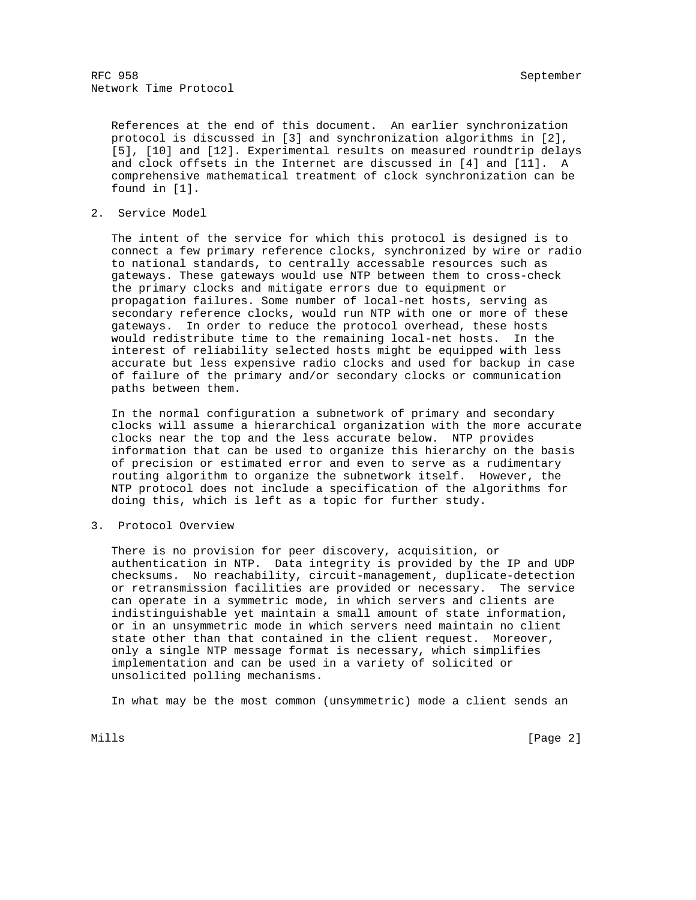RFC 958 September 2008 September 2008 September 2008 September 2008 September 2008 September 2008 September 20 Network Time Protocol

 References at the end of this document. An earlier synchronization protocol is discussed in [3] and synchronization algorithms in [2], [5], [10] and [12]. Experimental results on measured roundtrip delays and clock offsets in the Internet are discussed in [4] and [11]. A comprehensive mathematical treatment of clock synchronization can be found in [1].

2. Service Model

 The intent of the service for which this protocol is designed is to connect a few primary reference clocks, synchronized by wire or radio to national standards, to centrally accessable resources such as gateways. These gateways would use NTP between them to cross-check the primary clocks and mitigate errors due to equipment or propagation failures. Some number of local-net hosts, serving as secondary reference clocks, would run NTP with one or more of these gateways. In order to reduce the protocol overhead, these hosts would redistribute time to the remaining local-net hosts. In the interest of reliability selected hosts might be equipped with less accurate but less expensive radio clocks and used for backup in case of failure of the primary and/or secondary clocks or communication paths between them.

 In the normal configuration a subnetwork of primary and secondary clocks will assume a hierarchical organization with the more accurate clocks near the top and the less accurate below. NTP provides information that can be used to organize this hierarchy on the basis of precision or estimated error and even to serve as a rudimentary routing algorithm to organize the subnetwork itself. However, the NTP protocol does not include a specification of the algorithms for doing this, which is left as a topic for further study.

3. Protocol Overview

 There is no provision for peer discovery, acquisition, or authentication in NTP. Data integrity is provided by the IP and UDP checksums. No reachability, circuit-management, duplicate-detection or retransmission facilities are provided or necessary. The service can operate in a symmetric mode, in which servers and clients are indistinguishable yet maintain a small amount of state information, or in an unsymmetric mode in which servers need maintain no client state other than that contained in the client request. Moreover, only a single NTP message format is necessary, which simplifies implementation and can be used in a variety of solicited or unsolicited polling mechanisms.

In what may be the most common (unsymmetric) mode a client sends an

Mills **Example 2** and the contract of the contract of the contract of the contract of  $[$  Page 2  $]$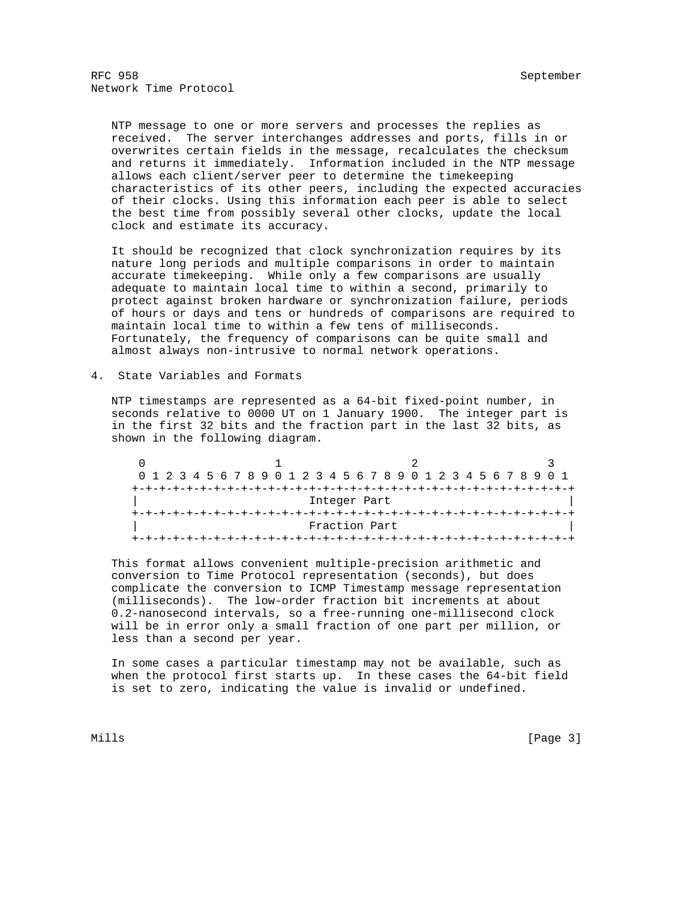NTP message to one or more servers and processes the replies as received. The server interchanges addresses and ports, fills in or overwrites certain fields in the message, recalculates the checksum and returns it immediately. Information included in the NTP message allows each client/server peer to determine the timekeeping characteristics of its other peers, including the expected accuracies of their clocks. Using this information each peer is able to select the best time from possibly several other clocks, update the local clock and estimate its accuracy.

 It should be recognized that clock synchronization requires by its nature long periods and multiple comparisons in order to maintain accurate timekeeping. While only a few comparisons are usually adequate to maintain local time to within a second, primarily to protect against broken hardware or synchronization failure, periods of hours or days and tens or hundreds of comparisons are required to maintain local time to within a few tens of milliseconds. Fortunately, the frequency of comparisons can be quite small and almost always non-intrusive to normal network operations.

4. State Variables and Formats

 NTP timestamps are represented as a 64-bit fixed-point number, in seconds relative to 0000 UT on 1 January 1900. The integer part is in the first 32 bits and the fraction part in the last 32 bits, as shown in the following diagram.

|  |  |  |  | 0 1 2 3 4 5 6 7 8 9 0 1 2 3 4 5 6 7 8 9 0 1 2 3 4 5 6 7 8 9 0 1 |  |  |               |  |  |  |  |  |  |  |  |  |
|--|--|--|--|-----------------------------------------------------------------|--|--|---------------|--|--|--|--|--|--|--|--|--|
|  |  |  |  |                                                                 |  |  |               |  |  |  |  |  |  |  |  |  |
|  |  |  |  |                                                                 |  |  | Integer Part  |  |  |  |  |  |  |  |  |  |
|  |  |  |  |                                                                 |  |  |               |  |  |  |  |  |  |  |  |  |
|  |  |  |  |                                                                 |  |  | Fraction Part |  |  |  |  |  |  |  |  |  |
|  |  |  |  |                                                                 |  |  |               |  |  |  |  |  |  |  |  |  |

 This format allows convenient multiple-precision arithmetic and conversion to Time Protocol representation (seconds), but does complicate the conversion to ICMP Timestamp message representation (milliseconds). The low-order fraction bit increments at about 0.2-nanosecond intervals, so a free-running one-millisecond clock will be in error only a small fraction of one part per million, or less than a second per year.

 In some cases a particular timestamp may not be available, such as when the protocol first starts up. In these cases the 64-bit field is set to zero, indicating the value is invalid or undefined.

Mills **Example 20** (Page 3)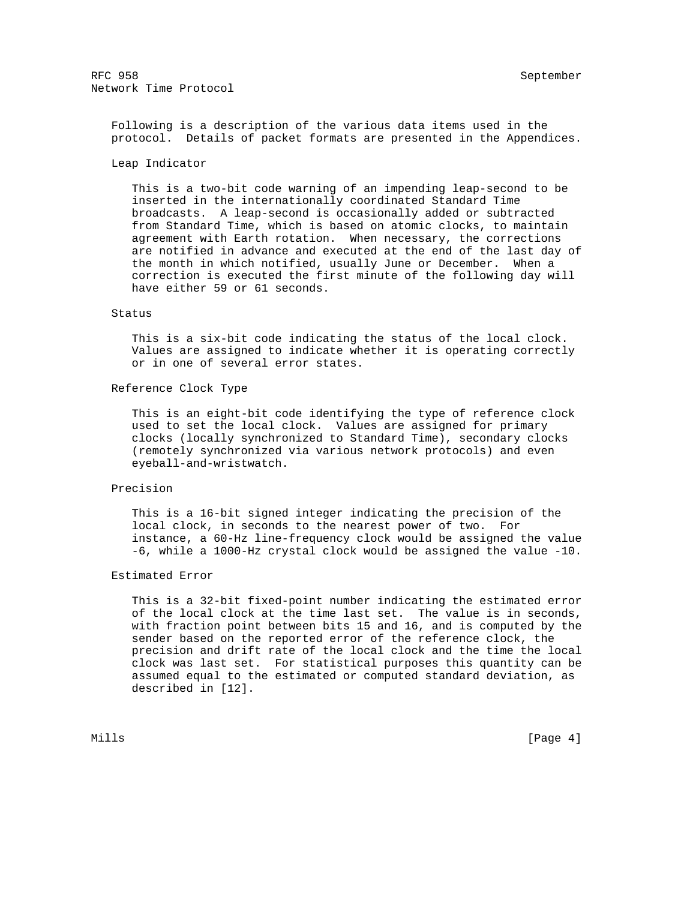Following is a description of the various data items used in the protocol. Details of packet formats are presented in the Appendices.

#### Leap Indicator

 This is a two-bit code warning of an impending leap-second to be inserted in the internationally coordinated Standard Time broadcasts. A leap-second is occasionally added or subtracted from Standard Time, which is based on atomic clocks, to maintain agreement with Earth rotation. When necessary, the corrections are notified in advance and executed at the end of the last day of the month in which notified, usually June or December. When a correction is executed the first minute of the following day will have either 59 or 61 seconds.

#### Status

 This is a six-bit code indicating the status of the local clock. Values are assigned to indicate whether it is operating correctly or in one of several error states.

### Reference Clock Type

 This is an eight-bit code identifying the type of reference clock used to set the local clock. Values are assigned for primary clocks (locally synchronized to Standard Time), secondary clocks (remotely synchronized via various network protocols) and even eyeball-and-wristwatch.

#### Precision

 This is a 16-bit signed integer indicating the precision of the local clock, in seconds to the nearest power of two. For instance, a 60-Hz line-frequency clock would be assigned the value -6, while a 1000-Hz crystal clock would be assigned the value -10.

# Estimated Error

 This is a 32-bit fixed-point number indicating the estimated error of the local clock at the time last set. The value is in seconds, with fraction point between bits 15 and 16, and is computed by the sender based on the reported error of the reference clock, the precision and drift rate of the local clock and the time the local clock was last set. For statistical purposes this quantity can be assumed equal to the estimated or computed standard deviation, as described in [12].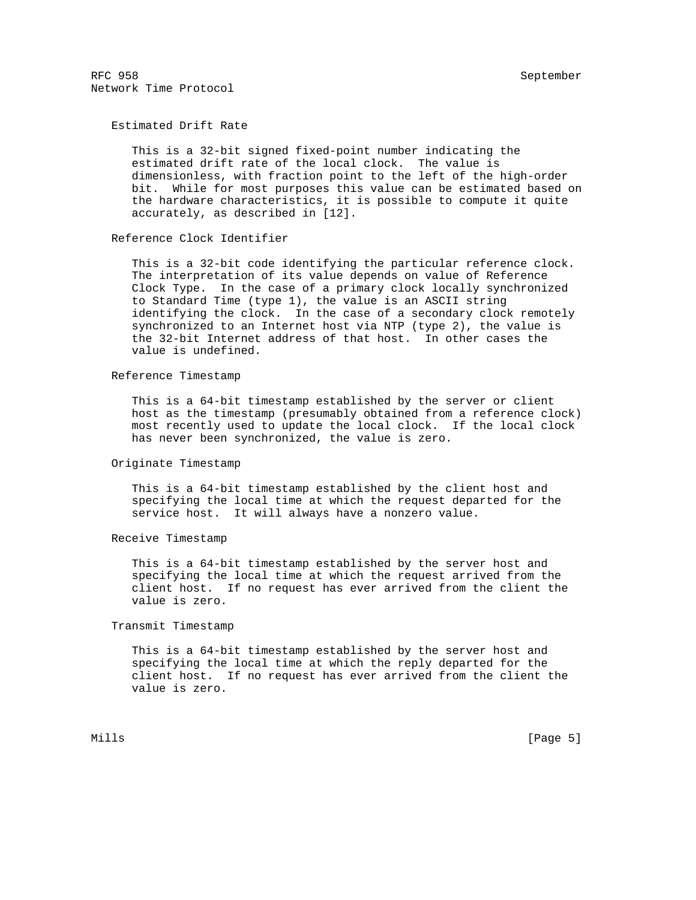Estimated Drift Rate

 This is a 32-bit signed fixed-point number indicating the estimated drift rate of the local clock. The value is dimensionless, with fraction point to the left of the high-order bit. While for most purposes this value can be estimated based on the hardware characteristics, it is possible to compute it quite accurately, as described in [12].

Reference Clock Identifier

 This is a 32-bit code identifying the particular reference clock. The interpretation of its value depends on value of Reference Clock Type. In the case of a primary clock locally synchronized to Standard Time (type 1), the value is an ASCII string identifying the clock. In the case of a secondary clock remotely synchronized to an Internet host via NTP (type 2), the value is the 32-bit Internet address of that host. In other cases the value is undefined.

Reference Timestamp

 This is a 64-bit timestamp established by the server or client host as the timestamp (presumably obtained from a reference clock) most recently used to update the local clock. If the local clock has never been synchronized, the value is zero.

#### Originate Timestamp

 This is a 64-bit timestamp established by the client host and specifying the local time at which the request departed for the service host. It will always have a nonzero value.

Receive Timestamp

 This is a 64-bit timestamp established by the server host and specifying the local time at which the request arrived from the client host. If no request has ever arrived from the client the value is zero.

Transmit Timestamp

 This is a 64-bit timestamp established by the server host and specifying the local time at which the reply departed for the client host. If no request has ever arrived from the client the value is zero.

Mills [Page 5]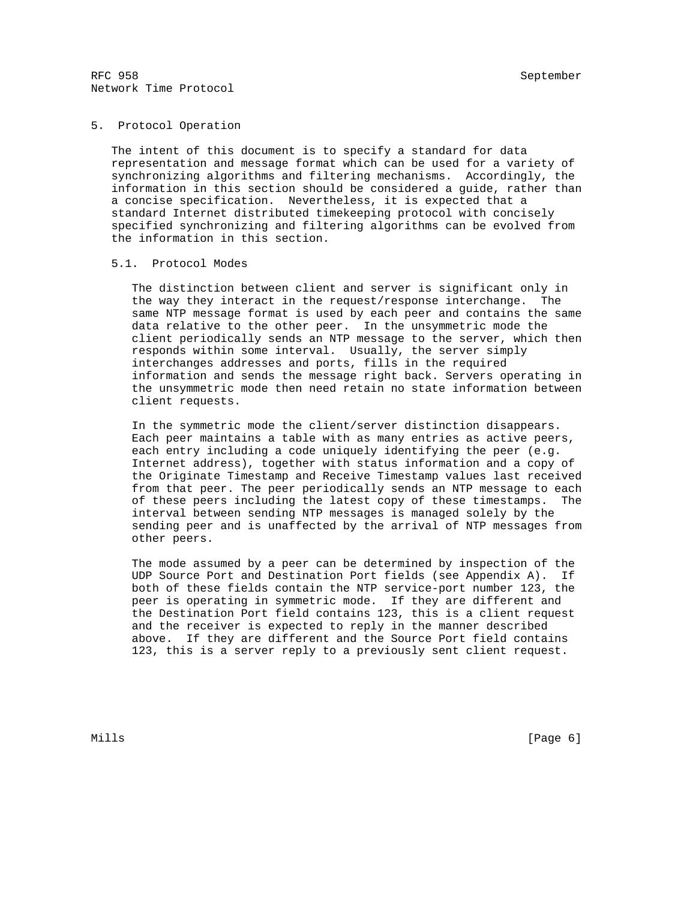# 5. Protocol Operation

 The intent of this document is to specify a standard for data representation and message format which can be used for a variety of synchronizing algorithms and filtering mechanisms. Accordingly, the information in this section should be considered a guide, rather than a concise specification. Nevertheless, it is expected that a standard Internet distributed timekeeping protocol with concisely specified synchronizing and filtering algorithms can be evolved from the information in this section.

## 5.1. Protocol Modes

 The distinction between client and server is significant only in the way they interact in the request/response interchange. The same NTP message format is used by each peer and contains the same data relative to the other peer. In the unsymmetric mode the client periodically sends an NTP message to the server, which then responds within some interval. Usually, the server simply interchanges addresses and ports, fills in the required information and sends the message right back. Servers operating in the unsymmetric mode then need retain no state information between client requests.

 In the symmetric mode the client/server distinction disappears. Each peer maintains a table with as many entries as active peers, each entry including a code uniquely identifying the peer (e.g. Internet address), together with status information and a copy of the Originate Timestamp and Receive Timestamp values last received from that peer. The peer periodically sends an NTP message to each of these peers including the latest copy of these timestamps. The interval between sending NTP messages is managed solely by the sending peer and is unaffected by the arrival of NTP messages from other peers.

 The mode assumed by a peer can be determined by inspection of the UDP Source Port and Destination Port fields (see Appendix A). If both of these fields contain the NTP service-port number 123, the peer is operating in symmetric mode. If they are different and the Destination Port field contains 123, this is a client request and the receiver is expected to reply in the manner described above. If they are different and the Source Port field contains 123, this is a server reply to a previously sent client request.

Mills **Example 2** (Page 6) **Mills**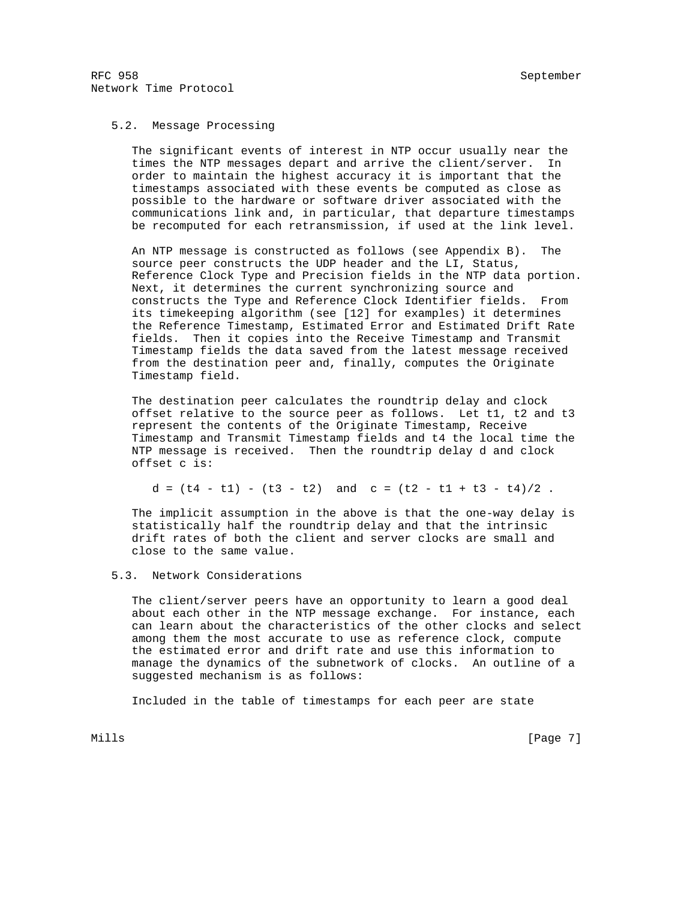# 5.2. Message Processing

 The significant events of interest in NTP occur usually near the times the NTP messages depart and arrive the client/server. In order to maintain the highest accuracy it is important that the timestamps associated with these events be computed as close as possible to the hardware or software driver associated with the communications link and, in particular, that departure timestamps be recomputed for each retransmission, if used at the link level.

An NTP message is constructed as follows (see Appendix B). source peer constructs the UDP header and the LI, Status, Reference Clock Type and Precision fields in the NTP data portion. Next, it determines the current synchronizing source and constructs the Type and Reference Clock Identifier fields. From its timekeeping algorithm (see [12] for examples) it determines the Reference Timestamp, Estimated Error and Estimated Drift Rate fields. Then it copies into the Receive Timestamp and Transmit Timestamp fields the data saved from the latest message received from the destination peer and, finally, computes the Originate Timestamp field.

 The destination peer calculates the roundtrip delay and clock offset relative to the source peer as follows. Let t1, t2 and t3 represent the contents of the Originate Timestamp, Receive Timestamp and Transmit Timestamp fields and t4 the local time the NTP message is received. Then the roundtrip delay d and clock offset c is:

 $d = (t4 - t1) - (t3 - t2)$  and  $c = (t2 - t1 + t3 - t4)/2$ .

 The implicit assumption in the above is that the one-way delay is statistically half the roundtrip delay and that the intrinsic drift rates of both the client and server clocks are small and close to the same value.

## 5.3. Network Considerations

 The client/server peers have an opportunity to learn a good deal about each other in the NTP message exchange. For instance, each can learn about the characteristics of the other clocks and select among them the most accurate to use as reference clock, compute the estimated error and drift rate and use this information to manage the dynamics of the subnetwork of clocks. An outline of a suggested mechanism is as follows:

Included in the table of timestamps for each peer are state

Mills [Page 7] [Page 7] [Page 7] [Page 7] [Page 7] [Page 7] [Page 7] [Page 7] [Page 7] [Page 7] [Page 7] [Page 7] [Page 7] [Page 7] [Page 7] [Page 7] [Page 7] [Page 7] [Page 7] [Page 7] [Page 7] [Page 7] [Page 7] [Page 7]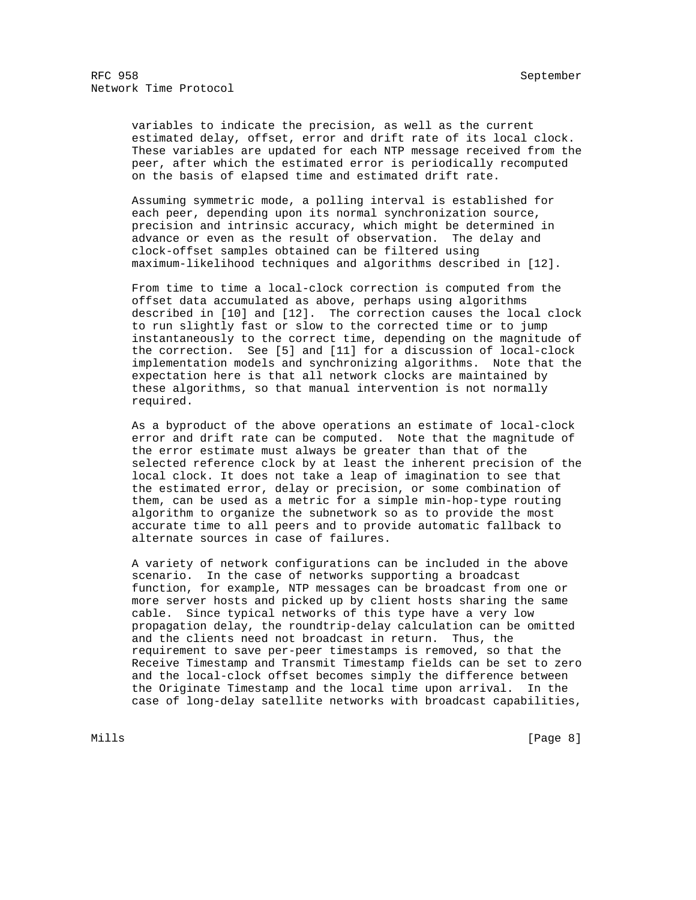variables to indicate the precision, as well as the current estimated delay, offset, error and drift rate of its local clock. These variables are updated for each NTP message received from the peer, after which the estimated error is periodically recomputed on the basis of elapsed time and estimated drift rate.

 Assuming symmetric mode, a polling interval is established for each peer, depending upon its normal synchronization source, precision and intrinsic accuracy, which might be determined in advance or even as the result of observation. The delay and clock-offset samples obtained can be filtered using maximum-likelihood techniques and algorithms described in [12].

 From time to time a local-clock correction is computed from the offset data accumulated as above, perhaps using algorithms described in [10] and [12]. The correction causes the local clock to run slightly fast or slow to the corrected time or to jump instantaneously to the correct time, depending on the magnitude of the correction. See [5] and [11] for a discussion of local-clock implementation models and synchronizing algorithms. Note that the expectation here is that all network clocks are maintained by these algorithms, so that manual intervention is not normally required.

 As a byproduct of the above operations an estimate of local-clock error and drift rate can be computed. Note that the magnitude of the error estimate must always be greater than that of the selected reference clock by at least the inherent precision of the local clock. It does not take a leap of imagination to see that the estimated error, delay or precision, or some combination of them, can be used as a metric for a simple min-hop-type routing algorithm to organize the subnetwork so as to provide the most accurate time to all peers and to provide automatic fallback to alternate sources in case of failures.

 A variety of network configurations can be included in the above scenario. In the case of networks supporting a broadcast function, for example, NTP messages can be broadcast from one or more server hosts and picked up by client hosts sharing the same cable. Since typical networks of this type have a very low propagation delay, the roundtrip-delay calculation can be omitted and the clients need not broadcast in return. Thus, the requirement to save per-peer timestamps is removed, so that the Receive Timestamp and Transmit Timestamp fields can be set to zero and the local-clock offset becomes simply the difference between the Originate Timestamp and the local time upon arrival. In the case of long-delay satellite networks with broadcast capabilities,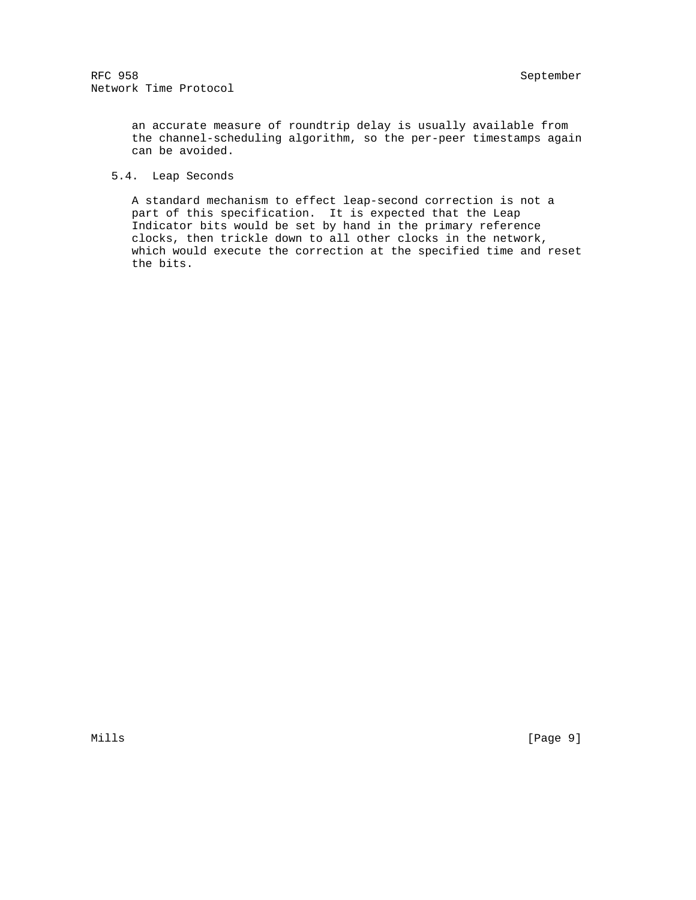an accurate measure of roundtrip delay is usually available from the channel-scheduling algorithm, so the per-peer timestamps again can be avoided.

# 5.4. Leap Seconds

 A standard mechanism to effect leap-second correction is not a part of this specification. It is expected that the Leap Indicator bits would be set by hand in the primary reference clocks, then trickle down to all other clocks in the network, which would execute the correction at the specified time and reset the bits.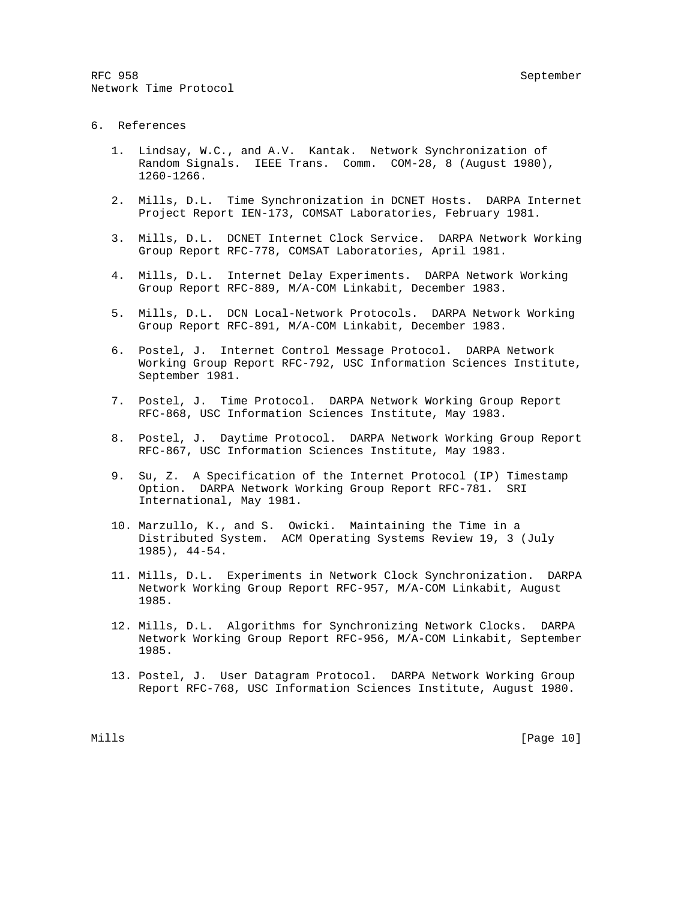RFC 958 September 2008 September 2008 September 2008 September 2008 September 2008 September 2008 September 20 Network Time Protocol

# 6. References

- 1. Lindsay, W.C., and A.V. Kantak. Network Synchronization of Random Signals. IEEE Trans. Comm. COM-28, 8 (August 1980), 1260-1266.
- 2. Mills, D.L. Time Synchronization in DCNET Hosts. DARPA Internet Project Report IEN-173, COMSAT Laboratories, February 1981.
- 3. Mills, D.L. DCNET Internet Clock Service. DARPA Network Working Group Report RFC-778, COMSAT Laboratories, April 1981.
- 4. Mills, D.L. Internet Delay Experiments. DARPA Network Working Group Report RFC-889, M/A-COM Linkabit, December 1983.
- 5. Mills, D.L. DCN Local-Network Protocols. DARPA Network Working Group Report RFC-891, M/A-COM Linkabit, December 1983.
- 6. Postel, J. Internet Control Message Protocol. DARPA Network Working Group Report RFC-792, USC Information Sciences Institute, September 1981.
- 7. Postel, J. Time Protocol. DARPA Network Working Group Report RFC-868, USC Information Sciences Institute, May 1983.
- 8. Postel, J. Daytime Protocol. DARPA Network Working Group Report RFC-867, USC Information Sciences Institute, May 1983.
- 9. Su, Z. A Specification of the Internet Protocol (IP) Timestamp Option. DARPA Network Working Group Report RFC-781. SRI International, May 1981.
- 10. Marzullo, K., and S. Owicki. Maintaining the Time in a Distributed System. ACM Operating Systems Review 19, 3 (July 1985), 44-54.
- 11. Mills, D.L. Experiments in Network Clock Synchronization. DARPA Network Working Group Report RFC-957, M/A-COM Linkabit, August 1985.
- 12. Mills, D.L. Algorithms for Synchronizing Network Clocks. DARPA Network Working Group Report RFC-956, M/A-COM Linkabit, September 1985.
- 13. Postel, J. User Datagram Protocol. DARPA Network Working Group Report RFC-768, USC Information Sciences Institute, August 1980.

Mills [Page 10]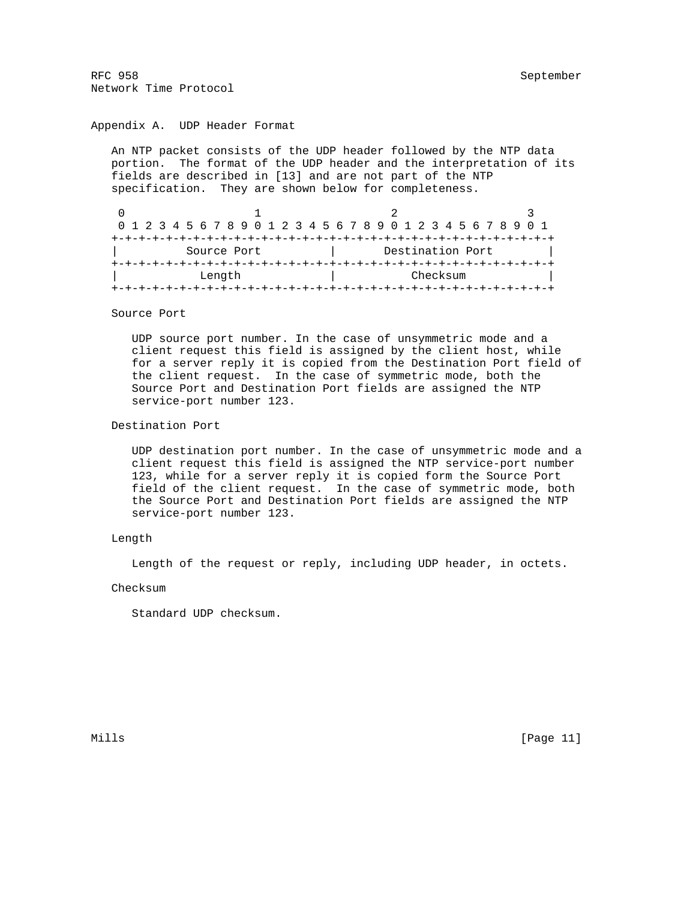# Appendix A. UDP Header Format

 An NTP packet consists of the UDP header followed by the NTP data portion. The format of the UDP header and the interpretation of its fields are described in [13] and are not part of the NTP specification. They are shown below for completeness.

0  $1$  2 3 0 1 2 3 4 5 6 7 8 9 0 1 2 3 4 5 6 7 8 9 0 1 2 3 4 5 6 7 8 9 0 1 +-+-+-+-+-+-+-+-+-+-+-+-+-+-+-+-+-+-+-+-+-+-+-+-+-+-+-+-+-+-+-+-+ Source Port | Destination Port +-+-+-+-+-+-+-+-+-+-+-+-+-+-+-+-+-+-+-+-+-+-+-+-+-+-+-+-+-+-+-+-+ | Length | Checksum | +-+-+-+-+-+-+-+-+-+-+-+-+-+-+-+-+-+-+-+-+-+-+-+-+-+-+-+-+-+-+-+-+

#### Source Port

 UDP source port number. In the case of unsymmetric mode and a client request this field is assigned by the client host, while for a server reply it is copied from the Destination Port field of the client request. In the case of symmetric mode, both the Source Port and Destination Port fields are assigned the NTP service-port number 123.

# Destination Port

 UDP destination port number. In the case of unsymmetric mode and a client request this field is assigned the NTP service-port number 123, while for a server reply it is copied form the Source Port field of the client request. In the case of symmetric mode, both the Source Port and Destination Port fields are assigned the NTP service-port number 123.

# Length

Length of the request or reply, including UDP header, in octets.

Checksum

Standard UDP checksum.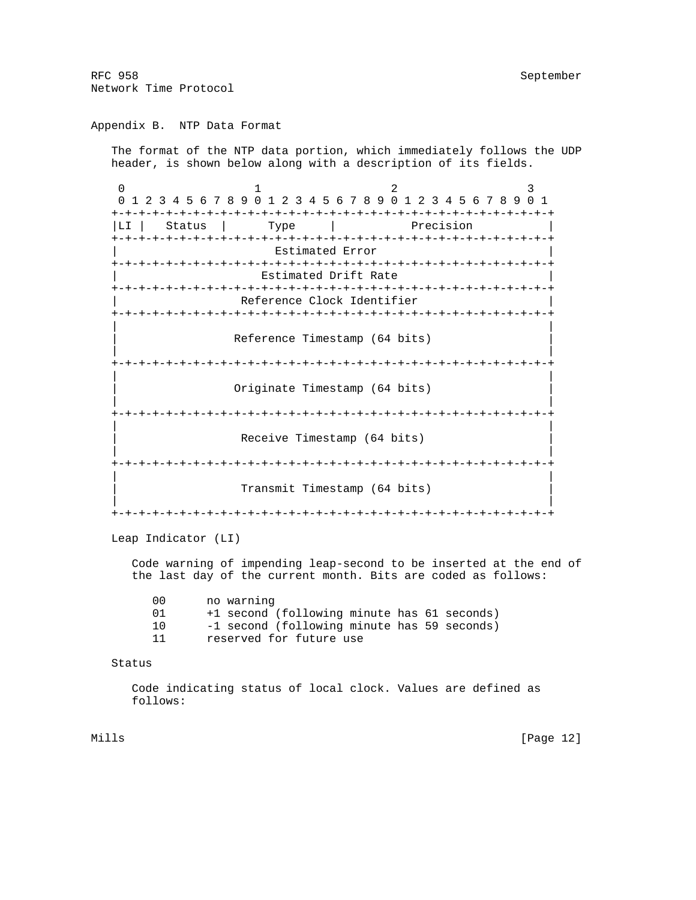Appendix B. NTP Data Format

 The format of the NTP data portion, which immediately follows the UDP header, is shown below along with a description of its fields.

0  $1$  2 3 0 1 2 3 4 5 6 7 8 9 0 1 2 3 4 5 6 7 8 9 0 1 2 3 4 5 6 7 8 9 0 1 +-+-+-+-+-+-+-+-+-+-+-+-+-+-+-+-+-+-+-+-+-+-+-+-+-+-+-+-+-+-+-+-+ |LI | Status | Type | Precision +-+-+-+-+-+-+-+-+-+-+-+-+-+-+-+-+-+-+-+-+-+-+-+-+-+-+-+-+-+-+-+-+ Estimated Error +-+-+-+-+-+-+-+-+-+-+-+-+-+-+-+-+-+-+-+-+-+-+-+-+-+-+-+-+-+-+-+-+ Estimated Drift Rate +-+-+-+-+-+-+-+-+-+-+-+-+-+-+-+-+-+-+-+-+-+-+-+-+-+-+-+-+-+-+-+-+ Reference Clock Identifier +-+-+-+-+-+-+-+-+-+-+-+-+-+-+-+-+-+-+-+-+-+-+-+-+-+-+-+-+-+-+-+-+ | | Reference Timestamp (64 bits) | | +-+-+-+-+-+-+-+-+-+-+-+-+-+-+-+-+-+-+-+-+-+-+-+-+-+-+-+-+-+-+-+-+ | | Originate Timestamp (64 bits) | | +-+-+-+-+-+-+-+-+-+-+-+-+-+-+-+-+-+-+-+-+-+-+-+-+-+-+-+-+-+-+-+-+ | | Receive Timestamp (64 bits) | | +-+-+-+-+-+-+-+-+-+-+-+-+-+-+-+-+-+-+-+-+-+-+-+-+-+-+-+-+-+-+-+-+ | | Transmit Timestamp (64 bits) | | +-+-+-+-+-+-+-+-+-+-+-+-+-+-+-+-+-+-+-+-+-+-+-+-+-+-+-+-+-+-+-+-+

Leap Indicator (LI)

 Code warning of impending leap-second to be inserted at the end of the last day of the current month. Bits are coded as follows:

| (1() | no warning                                  |
|------|---------------------------------------------|
|      | +1 second (following minute has 61 seconds) |
| 1 N  | -1 second (following minute has 59 seconds) |
|      | reserved for future use                     |

Status

 Code indicating status of local clock. Values are defined as follows:

Mills [Page 12]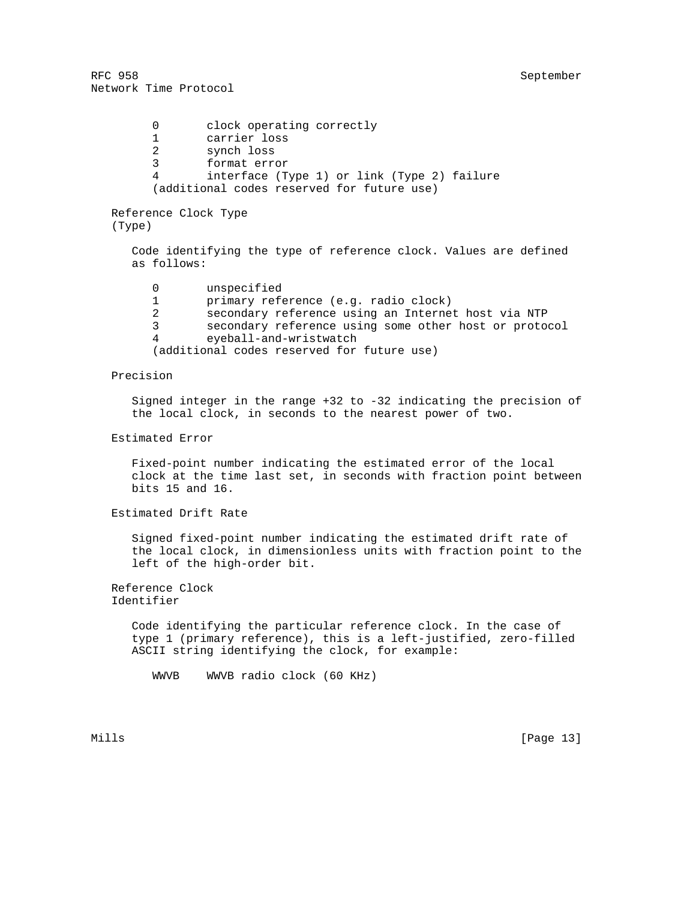| 0                              | clock operating correctly<br>carrier loss                        |
|--------------------------------|------------------------------------------------------------------|
| 2                              | synch loss                                                       |
| 3                              | format error                                                     |
| 4                              | interface (Type 1) or link (Type 2) failure                      |
|                                | (additional codes reserved for future use)                       |
|                                |                                                                  |
| Reference Clock Type<br>(Type) |                                                                  |
| as follows:                    | Code identifying the type of reference clock. Values are defined |
| 0                              | unspecified                                                      |
|                                | primary reference (e.g. radio clock)                             |
| 2                              | secondary reference using an Internet host via NTP               |
| 3                              | secondary reference using some other host or protocol            |
| 4                              | eyeball-and-wristwatch                                           |
|                                | (additional codes reserved for future use)                       |

# Precision

 Signed integer in the range +32 to -32 indicating the precision of the local clock, in seconds to the nearest power of two.

# Estimated Error

 Fixed-point number indicating the estimated error of the local clock at the time last set, in seconds with fraction point between bits 15 and 16.

Estimated Drift Rate

 Signed fixed-point number indicating the estimated drift rate of the local clock, in dimensionless units with fraction point to the left of the high-order bit.

 Reference Clock Identifier

> Code identifying the particular reference clock. In the case of type 1 (primary reference), this is a left-justified, zero-filled ASCII string identifying the clock, for example:

WWVB WWVB radio clock (60 KHz)

Mills [Page 13]